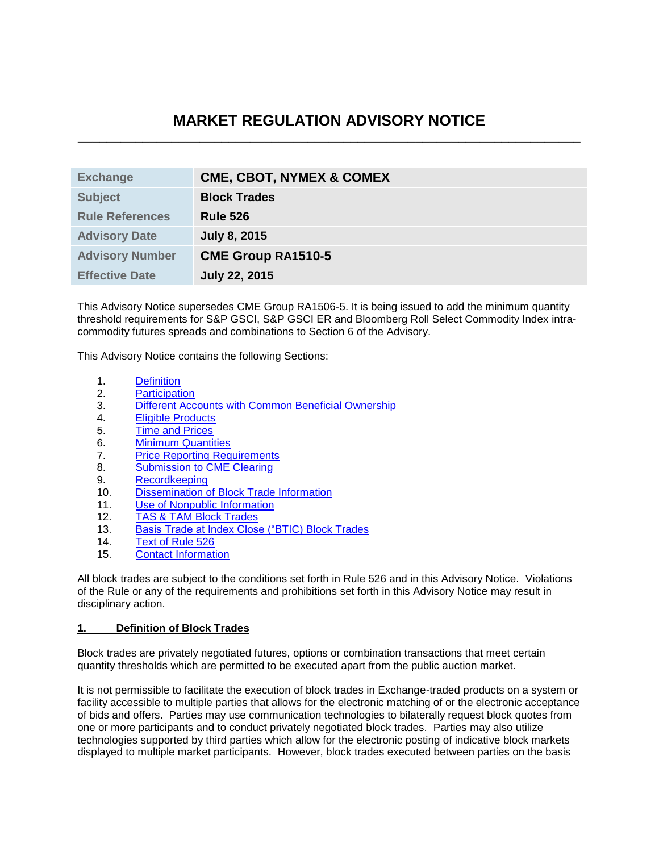# **MARKET REGULATION ADVISORY NOTICE \_\_\_\_\_\_\_\_\_\_\_\_\_\_\_\_\_\_\_\_\_\_\_\_\_\_\_\_\_\_\_\_\_\_\_\_\_\_\_\_\_\_\_\_\_\_\_\_\_\_\_\_\_\_\_\_\_\_\_\_\_\_\_\_\_\_\_\_\_\_**

| <b>CME, CBOT, NYMEX &amp; COMEX</b> |
|-------------------------------------|
| <b>Block Trades</b>                 |
| <b>Rule 526</b>                     |
| <b>July 8, 2015</b>                 |
| <b>CME Group RA1510-5</b>           |
| <b>July 22, 2015</b>                |
|                                     |

This Advisory Notice supersedes CME Group RA1506-5. It is being issued to add the minimum quantity threshold requirements for S&P GSCI, S&P GSCI ER and Bloomberg Roll Select Commodity Index intracommodity futures spreads and combinations to Section 6 of the Advisory.

This Advisory Notice contains the following Sections:

- 1. [Definition](#page-0-0)
- 2. [Participation](#page-1-0)
- 3. [Different Accounts with Common Beneficial Ownership](#page-1-1)
- 4. [Eligible Products](#page-1-2)
- 5. [Time and Prices](#page-1-3)
- 6. [Minimum Quantities](#page-2-0)
- 7. [Price Reporting Requirements](#page-4-0)
- 8. [Submission to CME Clearing](#page-7-0)
- 9. [Recordkeeping](#page-8-0)
- 10. [Dissemination of Block Trade Information](#page-8-1)
- 11. [Use of Nonpublic Information](#page-8-2)
- 12. [TAS & TAM Block Trades](#page-9-0)
- 13. [Basis Trade at Index Close \("BTIC\)](#page-10-0) Block Trades
- 14. [Text of Rule 526](#page-10-1)
- 15. [Contact Information](#page-11-0)

All block trades are subject to the conditions set forth in Rule 526 and in this Advisory Notice. Violations of the Rule or any of the requirements and prohibitions set forth in this Advisory Notice may result in disciplinary action.

#### <span id="page-0-0"></span>**1. Definition of Block Trades**

Block trades are privately negotiated futures, options or combination transactions that meet certain quantity thresholds which are permitted to be executed apart from the public auction market.

It is not permissible to facilitate the execution of block trades in Exchange-traded products on a system or facility accessible to multiple parties that allows for the electronic matching of or the electronic acceptance of bids and offers. Parties may use communication technologies to bilaterally request block quotes from one or more participants and to conduct privately negotiated block trades. Parties may also utilize technologies supported by third parties which allow for the electronic posting of indicative block markets displayed to multiple market participants. However, block trades executed between parties on the basis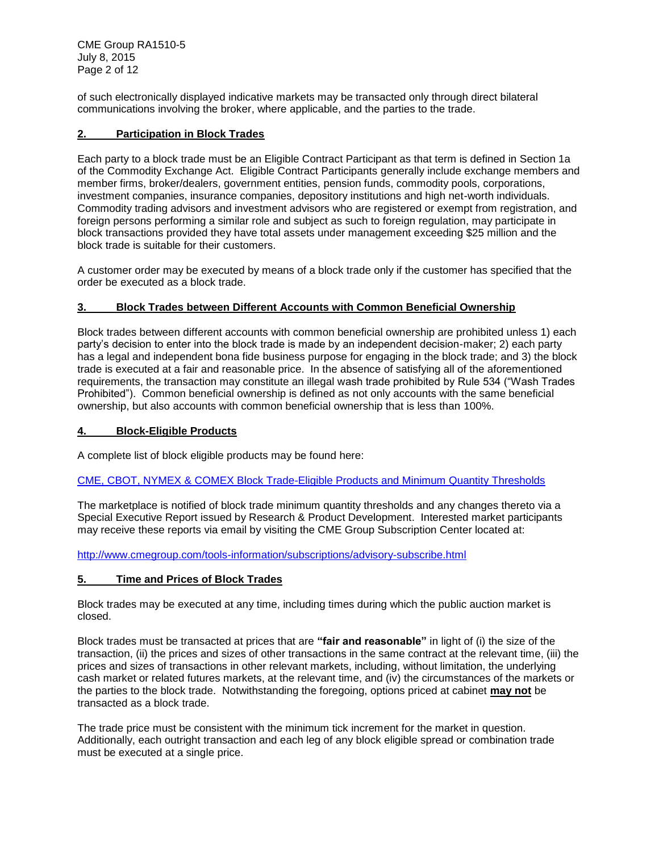CME Group RA1510-5 July 8, 2015 Page 2 of 12

of such electronically displayed indicative markets may be transacted only through direct bilateral communications involving the broker, where applicable, and the parties to the trade.

### <span id="page-1-0"></span>**2. Participation in Block Trades**

Each party to a block trade must be an Eligible Contract Participant as that term is defined in Section 1a of the Commodity Exchange Act. Eligible Contract Participants generally include exchange members and member firms, broker/dealers, government entities, pension funds, commodity pools, corporations, investment companies, insurance companies, depository institutions and high net-worth individuals. Commodity trading advisors and investment advisors who are registered or exempt from registration, and foreign persons performing a similar role and subject as such to foreign regulation, may participate in block transactions provided they have total assets under management exceeding \$25 million and the block trade is suitable for their customers.

A customer order may be executed by means of a block trade only if the customer has specified that the order be executed as a block trade.

### <span id="page-1-1"></span>**3. Block Trades between Different Accounts with Common Beneficial Ownership**

Block trades between different accounts with common beneficial ownership are prohibited unless 1) each party's decision to enter into the block trade is made by an independent decision-maker; 2) each party has a legal and independent bona fide business purpose for engaging in the block trade; and 3) the block trade is executed at a fair and reasonable price. In the absence of satisfying all of the aforementioned requirements, the transaction may constitute an illegal wash trade prohibited by Rule 534 ("Wash Trades Prohibited"). Common beneficial ownership is defined as not only accounts with the same beneficial ownership, but also accounts with common beneficial ownership that is less than 100%.

#### <span id="page-1-2"></span>**4. Block-Eligible Products**

A complete list of block eligible products may be found here:

#### [CME, CBOT, NYMEX & COMEX Block Trade-Eligible Products and Minimum Quantity Thresholds](http://www.cmegroup.com/clearing/trading-practices/block-trades.html#generalInfo)

The marketplace is notified of block trade minimum quantity thresholds and any changes thereto via a Special Executive Report issued by Research & Product Development. Interested market participants may receive these reports via email by visiting the CME Group Subscription Center located at:

<http://www.cmegroup.com/tools-information/subscriptions/advisory-subscribe.html>

#### <span id="page-1-3"></span>**5. Time and Prices of Block Trades**

Block trades may be executed at any time, including times during which the public auction market is closed.

Block trades must be transacted at prices that are **"fair and reasonable"** in light of (i) the size of the transaction, (ii) the prices and sizes of other transactions in the same contract at the relevant time, (iii) the prices and sizes of transactions in other relevant markets, including, without limitation, the underlying cash market or related futures markets, at the relevant time, and (iv) the circumstances of the markets or the parties to the block trade. Notwithstanding the foregoing, options priced at cabinet **may not** be transacted as a block trade.

The trade price must be consistent with the minimum tick increment for the market in question. Additionally, each outright transaction and each leg of any block eligible spread or combination trade must be executed at a single price.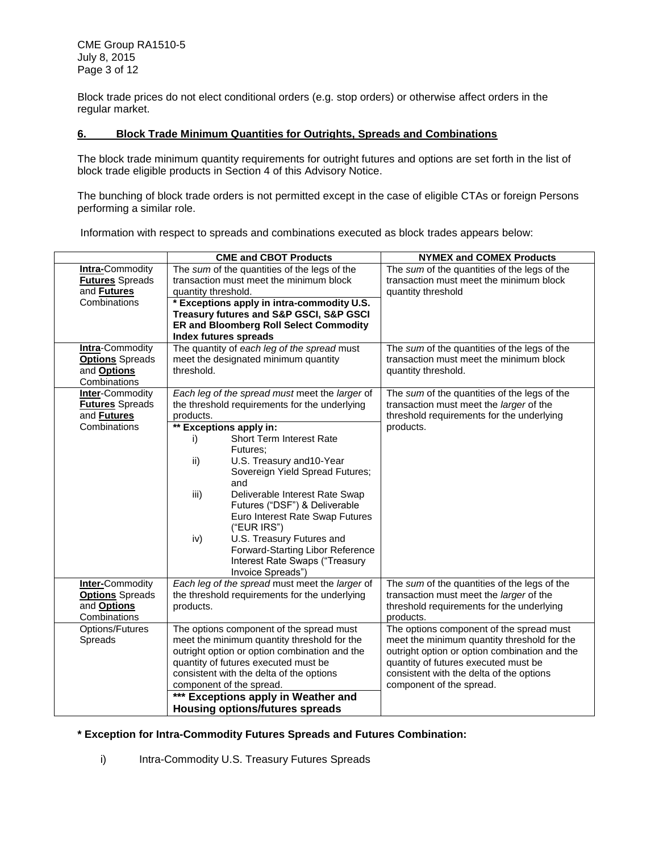CME Group RA1510-5 July 8, 2015 Page 3 of 12

Block trade prices do not elect conditional orders (e.g. stop orders) or otherwise affect orders in the regular market.

#### <span id="page-2-0"></span>**6. Block Trade Minimum Quantities for Outrights, Spreads and Combinations**

The block trade minimum quantity requirements for outright futures and options are set forth in the list of block trade eligible products in Section 4 of this Advisory Notice.

The bunching of block trade orders is not permitted except in the case of eligible CTAs or foreign Persons performing a similar role.

Information with respect to spreads and combinations executed as block trades appears below:

|                                                                                        | <b>CME and CBOT Products</b>                                                                                                                                                                                                                                                                                                                                                                                                                                                                                                           | <b>NYMEX and COMEX Products</b>                                                                                                                                                                                                                          |
|----------------------------------------------------------------------------------------|----------------------------------------------------------------------------------------------------------------------------------------------------------------------------------------------------------------------------------------------------------------------------------------------------------------------------------------------------------------------------------------------------------------------------------------------------------------------------------------------------------------------------------------|----------------------------------------------------------------------------------------------------------------------------------------------------------------------------------------------------------------------------------------------------------|
| <b>Intra-Commodity</b><br><b>Futures Spreads</b><br>and <b>Futures</b><br>Combinations | The sum of the quantities of the legs of the<br>transaction must meet the minimum block<br>quantity threshold.<br>* Exceptions apply in intra-commodity U.S.<br>Treasury futures and S&P GSCI, S&P GSCI<br><b>ER and Bloomberg Roll Select Commodity</b><br><b>Index futures spreads</b>                                                                                                                                                                                                                                               | The sum of the quantities of the legs of the<br>transaction must meet the minimum block<br>quantity threshold                                                                                                                                            |
| <b>Intra-Commodity</b><br><b>Options</b> Spreads<br>and <b>Options</b><br>Combinations | The quantity of each leg of the spread must<br>meet the designated minimum quantity<br>threshold.                                                                                                                                                                                                                                                                                                                                                                                                                                      | The sum of the quantities of the legs of the<br>transaction must meet the minimum block<br>quantity threshold.                                                                                                                                           |
| <b>Inter-Commodity</b><br><b>Futures Spreads</b><br>and <b>Futures</b><br>Combinations | Each leg of the spread must meet the larger of<br>the threshold requirements for the underlying<br>products.<br>** Exceptions apply in:<br><b>Short Term Interest Rate</b><br>i)<br>Futures:<br>U.S. Treasury and 10-Year<br>ii)<br>Sovereign Yield Spread Futures;<br>and<br>iii)<br>Deliverable Interest Rate Swap<br>Futures ("DSF") & Deliverable<br>Euro Interest Rate Swap Futures<br>("EUR IRS")<br>U.S. Treasury Futures and<br>iv)<br>Forward-Starting Libor Reference<br>Interest Rate Swaps ("Treasury<br>Invoice Spreads") | The sum of the quantities of the legs of the<br>transaction must meet the larger of the<br>threshold requirements for the underlying<br>products.                                                                                                        |
| <b>Inter-Commodity</b><br><b>Options</b> Spreads<br>and <b>Options</b><br>Combinations | Each leg of the spread must meet the larger of<br>the threshold requirements for the underlying<br>products.                                                                                                                                                                                                                                                                                                                                                                                                                           | The sum of the quantities of the legs of the<br>transaction must meet the larger of the<br>threshold requirements for the underlying<br>products.                                                                                                        |
| Options/Futures<br>Spreads                                                             | The options component of the spread must<br>meet the minimum quantity threshold for the<br>outright option or option combination and the<br>quantity of futures executed must be<br>consistent with the delta of the options<br>component of the spread.<br>*** Exceptions apply in Weather and<br><b>Housing options/futures spreads</b>                                                                                                                                                                                              | The options component of the spread must<br>meet the minimum quantity threshold for the<br>outright option or option combination and the<br>quantity of futures executed must be<br>consistent with the delta of the options<br>component of the spread. |

#### **\* Exception for Intra-Commodity Futures Spreads and Futures Combination:**

i) Intra-Commodity U.S. Treasury Futures Spreads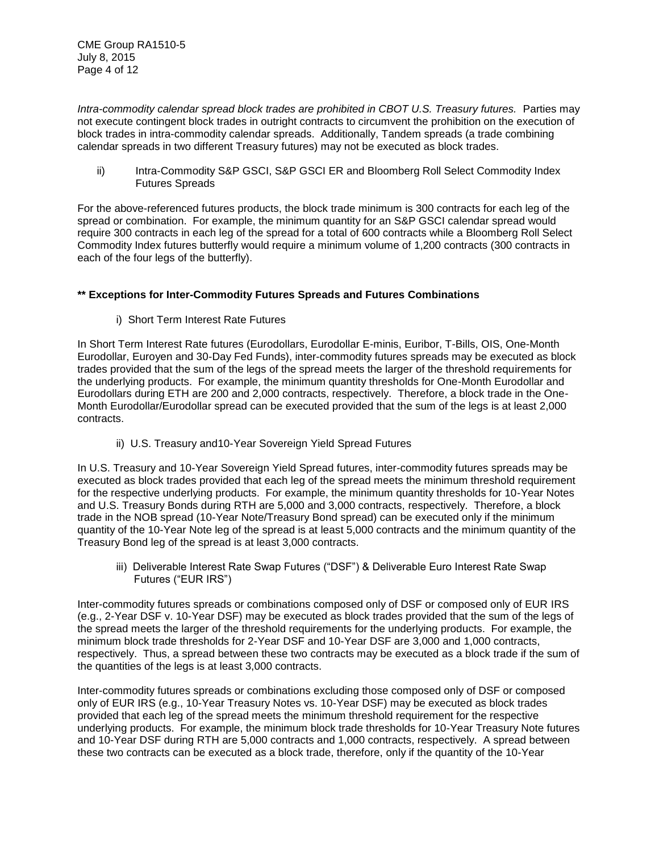*Intra-commodity calendar spread block trades are prohibited in CBOT U.S. Treasury futures.* Parties may not execute contingent block trades in outright contracts to circumvent the prohibition on the execution of block trades in intra-commodity calendar spreads. Additionally, Tandem spreads (a trade combining calendar spreads in two different Treasury futures) may not be executed as block trades.

ii) Intra-Commodity S&P GSCI, S&P GSCI ER and Bloomberg Roll Select Commodity Index Futures Spreads

For the above-referenced futures products, the block trade minimum is 300 contracts for each leg of the spread or combination. For example, the minimum quantity for an S&P GSCI calendar spread would require 300 contracts in each leg of the spread for a total of 600 contracts while a Bloomberg Roll Select Commodity Index futures butterfly would require a minimum volume of 1,200 contracts (300 contracts in each of the four legs of the butterfly).

### **\*\* Exceptions for Inter-Commodity Futures Spreads and Futures Combinations**

i) Short Term Interest Rate Futures

In Short Term Interest Rate futures (Eurodollars, Eurodollar E-minis, Euribor, T-Bills, OIS, One-Month Eurodollar, Euroyen and 30-Day Fed Funds), inter-commodity futures spreads may be executed as block trades provided that the sum of the legs of the spread meets the larger of the threshold requirements for the underlying products. For example, the minimum quantity thresholds for One-Month Eurodollar and Eurodollars during ETH are 200 and 2,000 contracts, respectively. Therefore, a block trade in the One-Month Eurodollar/Eurodollar spread can be executed provided that the sum of the legs is at least 2,000 contracts.

ii) U.S. Treasury and10-Year Sovereign Yield Spread Futures

In U.S. Treasury and 10-Year Sovereign Yield Spread futures, inter-commodity futures spreads may be executed as block trades provided that each leg of the spread meets the minimum threshold requirement for the respective underlying products. For example, the minimum quantity thresholds for 10-Year Notes and U.S. Treasury Bonds during RTH are 5,000 and 3,000 contracts, respectively. Therefore, a block trade in the NOB spread (10-Year Note/Treasury Bond spread) can be executed only if the minimum quantity of the 10-Year Note leg of the spread is at least 5,000 contracts and the minimum quantity of the Treasury Bond leg of the spread is at least 3,000 contracts.

iii) Deliverable Interest Rate Swap Futures ("DSF") & Deliverable Euro Interest Rate Swap Futures ("EUR IRS")

Inter-commodity futures spreads or combinations composed only of DSF or composed only of EUR IRS (e.g., 2-Year DSF v. 10-Year DSF) may be executed as block trades provided that the sum of the legs of the spread meets the larger of the threshold requirements for the underlying products. For example, the minimum block trade thresholds for 2-Year DSF and 10-Year DSF are 3,000 and 1,000 contracts, respectively. Thus, a spread between these two contracts may be executed as a block trade if the sum of the quantities of the legs is at least 3,000 contracts.

Inter-commodity futures spreads or combinations excluding those composed only of DSF or composed only of EUR IRS (e.g., 10-Year Treasury Notes vs. 10-Year DSF) may be executed as block trades provided that each leg of the spread meets the minimum threshold requirement for the respective underlying products. For example, the minimum block trade thresholds for 10-Year Treasury Note futures and 10-Year DSF during RTH are 5,000 contracts and 1,000 contracts, respectively. A spread between these two contracts can be executed as a block trade, therefore, only if the quantity of the 10-Year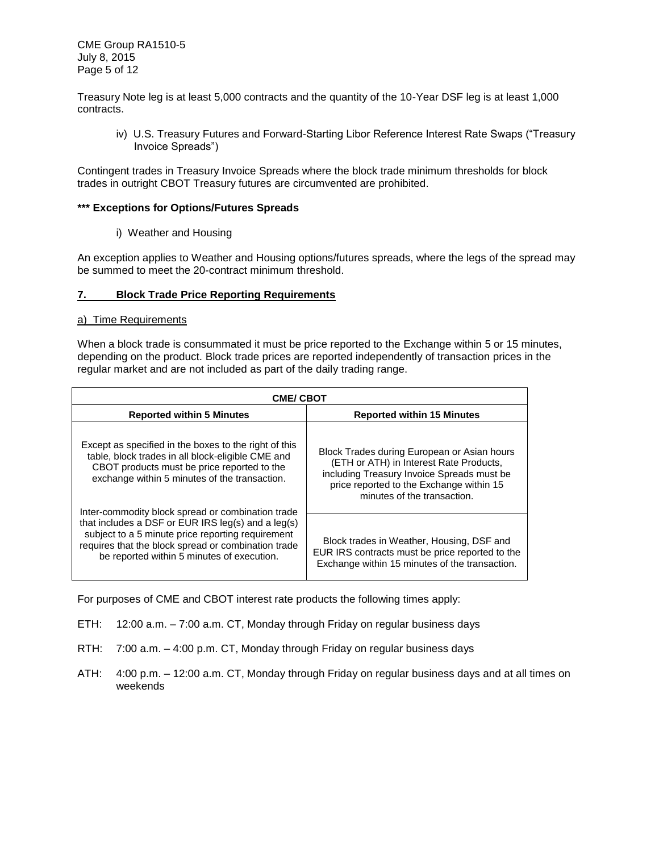CME Group RA1510-5 July 8, 2015 Page 5 of 12

Treasury Note leg is at least 5,000 contracts and the quantity of the 10-Year DSF leg is at least 1,000 contracts.

iv) U.S. Treasury Futures and Forward-Starting Libor Reference Interest Rate Swaps ("Treasury Invoice Spreads")

Contingent trades in Treasury Invoice Spreads where the block trade minimum thresholds for block trades in outright CBOT Treasury futures are circumvented are prohibited.

### **\*\*\* Exceptions for Options/Futures Spreads**

i) Weather and Housing

An exception applies to Weather and Housing options/futures spreads, where the legs of the spread may be summed to meet the 20-contract minimum threshold.

### <span id="page-4-0"></span>**7. Block Trade Price Reporting Requirements**

#### a) Time Requirements

When a block trade is consummated it must be price reported to the Exchange within 5 or 15 minutes, depending on the product. Block trade prices are reported independently of transaction prices in the regular market and are not included as part of the daily trading range.

| <b>CME/ CBOT</b>                                                                                                                                                                                                                                                      |                                                                                                                                                                                                                 |  |  |  |
|-----------------------------------------------------------------------------------------------------------------------------------------------------------------------------------------------------------------------------------------------------------------------|-----------------------------------------------------------------------------------------------------------------------------------------------------------------------------------------------------------------|--|--|--|
| <b>Reported within 5 Minutes</b>                                                                                                                                                                                                                                      | <b>Reported within 15 Minutes</b>                                                                                                                                                                               |  |  |  |
| Except as specified in the boxes to the right of this<br>table, block trades in all block-eligible CME and<br>CBOT products must be price reported to the<br>exchange within 5 minutes of the transaction.                                                            | Block Trades during European or Asian hours<br>(ETH or ATH) in Interest Rate Products,<br>including Treasury Invoice Spreads must be<br>price reported to the Exchange within 15<br>minutes of the transaction. |  |  |  |
| Inter-commodity block spread or combination trade<br>that includes a DSF or EUR IRS $leg(s)$ and a $leg(s)$<br>subject to a 5 minute price reporting requirement<br>requires that the block spread or combination trade<br>be reported within 5 minutes of execution. | Block trades in Weather, Housing, DSF and<br>EUR IRS contracts must be price reported to the<br>Exchange within 15 minutes of the transaction.                                                                  |  |  |  |

For purposes of CME and CBOT interest rate products the following times apply:

- ETH: 12:00 a.m. 7:00 a.m. CT, Monday through Friday on regular business days
- RTH: 7:00 a.m. 4:00 p.m. CT, Monday through Friday on regular business days
- ATH: 4:00 p.m. 12:00 a.m. CT, Monday through Friday on regular business days and at all times on weekends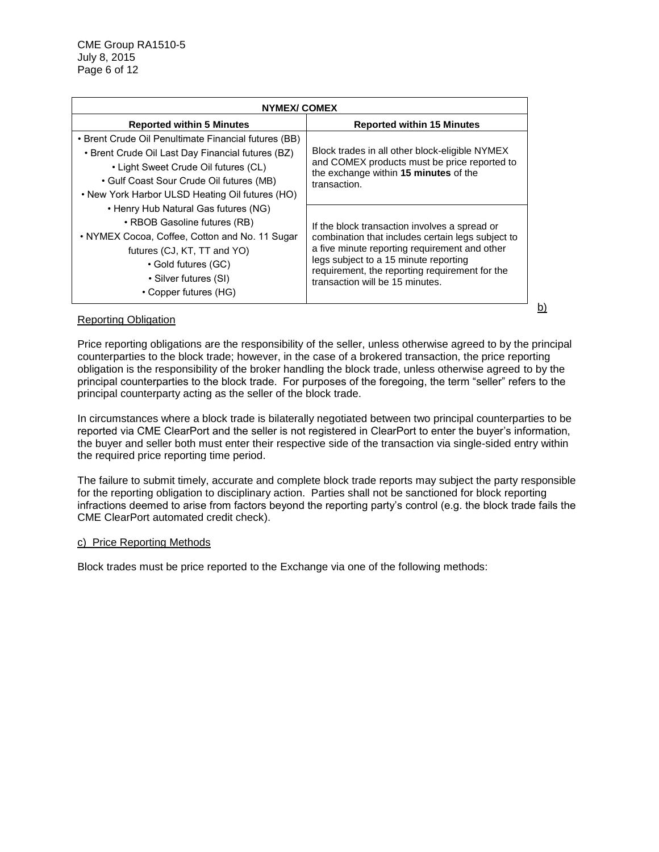| NYMEX/ COMEX                                                                                                                                                                                                                                                                             |                                                                                                                                                                                                                                                                                   |  |  |
|------------------------------------------------------------------------------------------------------------------------------------------------------------------------------------------------------------------------------------------------------------------------------------------|-----------------------------------------------------------------------------------------------------------------------------------------------------------------------------------------------------------------------------------------------------------------------------------|--|--|
| <b>Reported within 5 Minutes</b>                                                                                                                                                                                                                                                         | <b>Reported within 15 Minutes</b>                                                                                                                                                                                                                                                 |  |  |
| • Brent Crude Oil Penultimate Financial futures (BB)<br>• Brent Crude Oil Last Day Financial futures (BZ)<br>• Light Sweet Crude Oil futures (CL)<br>• Gulf Coast Sour Crude Oil futures (MB)<br>• New York Harbor ULSD Heating Oil futures (HO)<br>• Henry Hub Natural Gas futures (NG) | Block trades in all other block-eligible NYMEX<br>and COMEX products must be price reported to<br>the exchange within 15 minutes of the<br>transaction.                                                                                                                           |  |  |
| • RBOB Gasoline futures (RB)<br>• NYMEX Cocoa, Coffee, Cotton and No. 11 Sugar<br>futures (CJ, KT, TT and YO)<br>• Gold futures (GC)<br>• Silver futures (SI)<br>• Copper futures (HG)                                                                                                   | If the block transaction involves a spread or<br>combination that includes certain legs subject to<br>a five minute reporting requirement and other<br>legs subject to a 15 minute reporting<br>requirement, the reporting requirement for the<br>transaction will be 15 minutes. |  |  |

### Reporting Obligation

Price reporting obligations are the responsibility of the seller, unless otherwise agreed to by the principal counterparties to the block trade; however, in the case of a brokered transaction, the price reporting obligation is the responsibility of the broker handling the block trade, unless otherwise agreed to by the principal counterparties to the block trade. For purposes of the foregoing, the term "seller" refers to the principal counterparty acting as the seller of the block trade.

b)

In circumstances where a block trade is bilaterally negotiated between two principal counterparties to be reported via CME ClearPort and the seller is not registered in ClearPort to enter the buyer's information, the buyer and seller both must enter their respective side of the transaction via single-sided entry within the required price reporting time period.

The failure to submit timely, accurate and complete block trade reports may subject the party responsible for the reporting obligation to disciplinary action. Parties shall not be sanctioned for block reporting infractions deemed to arise from factors beyond the reporting party's control (e.g. the block trade fails the CME ClearPort automated credit check).

#### c) Price Reporting Methods

Block trades must be price reported to the Exchange via one of the following methods: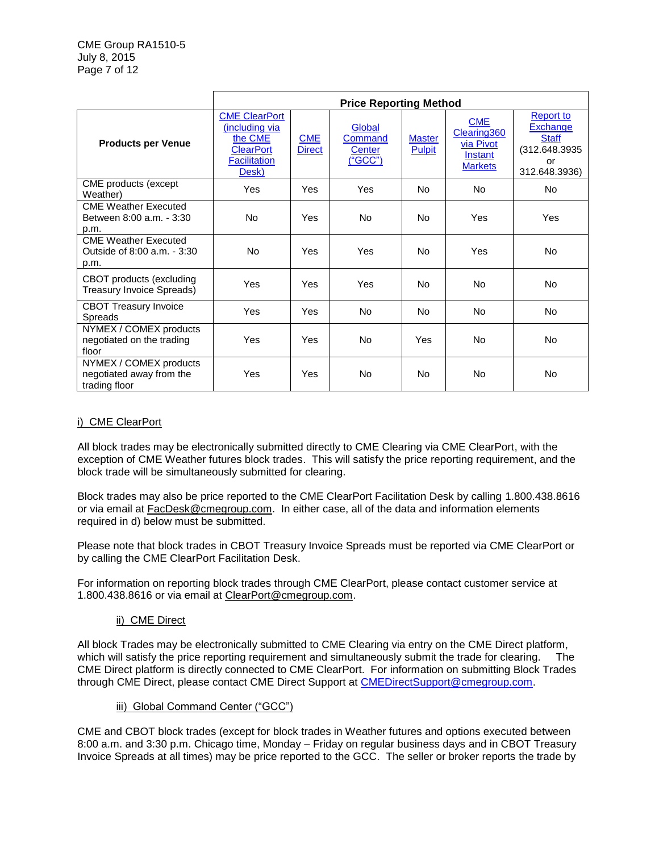|                                                                     | <b>Price Reporting Method</b>                                                                         |                             |                                                      |                                |                                                                      |                                                                                       |
|---------------------------------------------------------------------|-------------------------------------------------------------------------------------------------------|-----------------------------|------------------------------------------------------|--------------------------------|----------------------------------------------------------------------|---------------------------------------------------------------------------------------|
| <b>Products per Venue</b>                                           | <b>CME ClearPort</b><br>(including via<br>the CME<br><b>ClearPort</b><br><b>Facilitation</b><br>Desk) | <b>CME</b><br><b>Direct</b> | Global<br>Command<br><b>Center</b><br><u>("GCC")</u> | <b>Master</b><br><b>Pulpit</b> | <b>CME</b><br>Clearing 360<br>via Pivot<br>Instant<br><b>Markets</b> | Report to<br><b>Exchange</b><br><b>Staff</b><br>(312.648.3935)<br>or<br>312.648.3936) |
| CME products (except<br>Weather)                                    | Yes                                                                                                   | Yes                         | Yes                                                  | No                             | <b>No</b>                                                            | No.                                                                                   |
| <b>CME Weather Executed</b><br>Between 8:00 a.m. - 3:30<br>p.m.     | <b>No</b>                                                                                             | Yes                         | N <sub>o</sub>                                       | No                             | Yes                                                                  | <b>Yes</b>                                                                            |
| <b>CME Weather Executed</b><br>Outside of 8:00 a.m. - 3:30<br>p.m.  | No.                                                                                                   | Yes                         | Yes                                                  | No                             | Yes                                                                  | No.                                                                                   |
| CBOT products (excluding<br>Treasury Invoice Spreads)               | Yes                                                                                                   | Yes                         | Yes                                                  | No                             | <b>No</b>                                                            | No.                                                                                   |
| <b>CBOT Treasury Invoice</b><br><b>Spreads</b>                      | Yes                                                                                                   | Yes                         | No.                                                  | No                             | <b>No</b>                                                            | No.                                                                                   |
| NYMEX / COMEX products<br>negotiated on the trading<br>floor        | Yes                                                                                                   | Yes                         | N <sub>o</sub>                                       | Yes                            | <b>No</b>                                                            | No.                                                                                   |
| NYMEX / COMEX products<br>negotiated away from the<br>trading floor | Yes                                                                                                   | Yes                         | No                                                   | No                             | <b>No</b>                                                            | No.                                                                                   |

## <span id="page-6-0"></span>i) CME ClearPort

All block trades may be electronically submitted directly to CME Clearing via CME ClearPort, with the exception of CME Weather futures block trades. This will satisfy the price reporting requirement, and the block trade will be simultaneously submitted for clearing.

Block trades may also be price reported to the CME ClearPort Facilitation Desk by calling 1.800.438.8616 or via email at [FacDesk@cmegroup.com.](mailto:FacDesk@cmegroup.com) In either case, all of the data and information elements required in d) below must be submitted.

Please note that block trades in CBOT Treasury Invoice Spreads must be reported via CME ClearPort or by calling the CME ClearPort Facilitation Desk.

For information on reporting block trades through CME ClearPort, please contact customer service at 1.800.438.8616 or via email at [ClearPort@cmegroup.com.](mailto:ClearPort@cmegroup.com)

### ii) CME Direct

<span id="page-6-1"></span>All block Trades may be electronically submitted to CME Clearing via entry on the CME Direct platform, which will satisfy the price reporting requirement and simultaneously submit the trade for clearing. The CME Direct platform is directly connected to CME ClearPort. For information on submitting Block Trades through CME Direct, please contact CME Direct Support at [CMEDirectSupport@cmegroup.com.](mailto:CMEDirectSupport@cmegroup.com)

### iii) Global Command Center ("GCC")

<span id="page-6-2"></span>CME and CBOT block trades (except for block trades in Weather futures and options executed between 8:00 a.m. and 3:30 p.m. Chicago time, Monday – Friday on regular business days and in CBOT Treasury Invoice Spreads at all times) may be price reported to the GCC. The seller or broker reports the trade by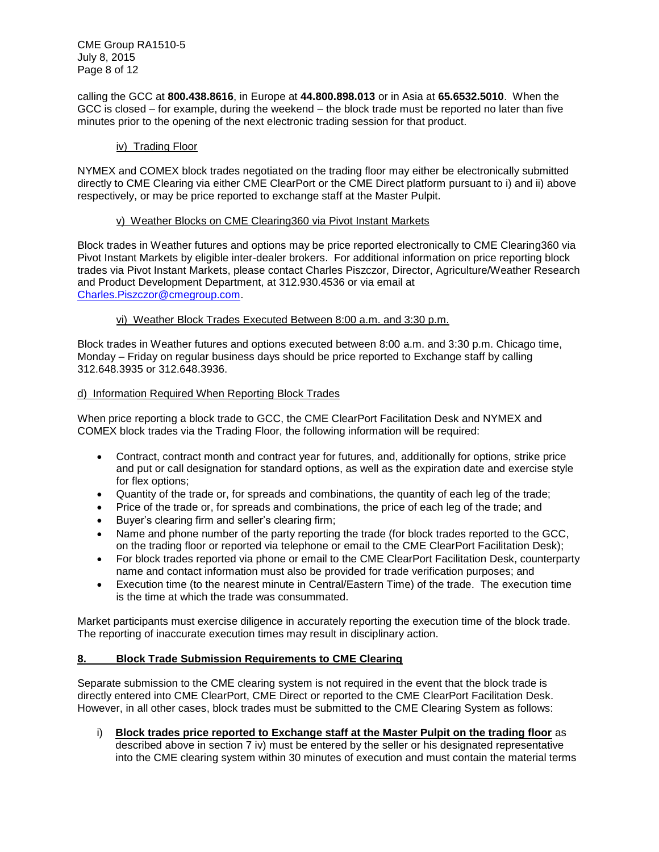CME Group RA1510-5 July 8, 2015 Page 8 of 12

calling the GCC at **800.438.8616**, in Europe at **44.800.898.013** or in Asia at **65.6532.5010**. When the GCC is closed – for example, during the weekend – the block trade must be reported no later than five minutes prior to the opening of the next electronic trading session for that product.

### <span id="page-7-1"></span>iv) Trading Floor

NYMEX and COMEX block trades negotiated on the trading floor may either be electronically submitted directly to CME Clearing via either CME ClearPort or the CME Direct platform pursuant to i) and ii) above respectively, or may be price reported to exchange staff at the Master Pulpit.

#### v) Weather Blocks on CME Clearing360 via Pivot Instant Markets

<span id="page-7-2"></span>Block trades in Weather futures and options may be price reported electronically to CME Clearing360 via Pivot Instant Markets by eligible inter-dealer brokers. For additional information on price reporting block trades via Pivot Instant Markets, please contact Charles Piszczor, Director, Agriculture/Weather Research and Product Development Department, at 312.930.4536 or via email at [Charles.Piszczor@cmegroup.com.](mailto:Charles.Piszczor@cmegroup.com)

### vi) Weather Block Trades Executed Between 8:00 a.m. and 3:30 p.m.

<span id="page-7-3"></span>Block trades in Weather futures and options executed between 8:00 a.m. and 3:30 p.m. Chicago time, Monday – Friday on regular business days should be price reported to Exchange staff by calling 312.648.3935 or 312.648.3936.

### d) Information Required When Reporting Block Trades

When price reporting a block trade to GCC, the CME ClearPort Facilitation Desk and NYMEX and COMEX block trades via the Trading Floor, the following information will be required:

- Contract, contract month and contract year for futures, and, additionally for options, strike price and put or call designation for standard options, as well as the expiration date and exercise style for flex options;
- Quantity of the trade or, for spreads and combinations, the quantity of each leg of the trade;
- Price of the trade or, for spreads and combinations, the price of each leg of the trade; and
- Buyer's clearing firm and seller's clearing firm;
- Name and phone number of the party reporting the trade (for block trades reported to the GCC, on the trading floor or reported via telephone or email to the CME ClearPort Facilitation Desk);
- For block trades reported via phone or email to the CME ClearPort Facilitation Desk, counterparty name and contact information must also be provided for trade verification purposes; and
- Execution time (to the nearest minute in Central/Eastern Time) of the trade. The execution time is the time at which the trade was consummated.

Market participants must exercise diligence in accurately reporting the execution time of the block trade. The reporting of inaccurate execution times may result in disciplinary action.

### <span id="page-7-0"></span>**8. Block Trade Submission Requirements to CME Clearing**

Separate submission to the CME clearing system is not required in the event that the block trade is directly entered into CME ClearPort, CME Direct or reported to the CME ClearPort Facilitation Desk. However, in all other cases, block trades must be submitted to the CME Clearing System as follows:

i) **Block trades price reported to Exchange staff at the Master Pulpit on the trading floor** as described above in section 7 iv) must be entered by the seller or his designated representative into the CME clearing system within 30 minutes of execution and must contain the material terms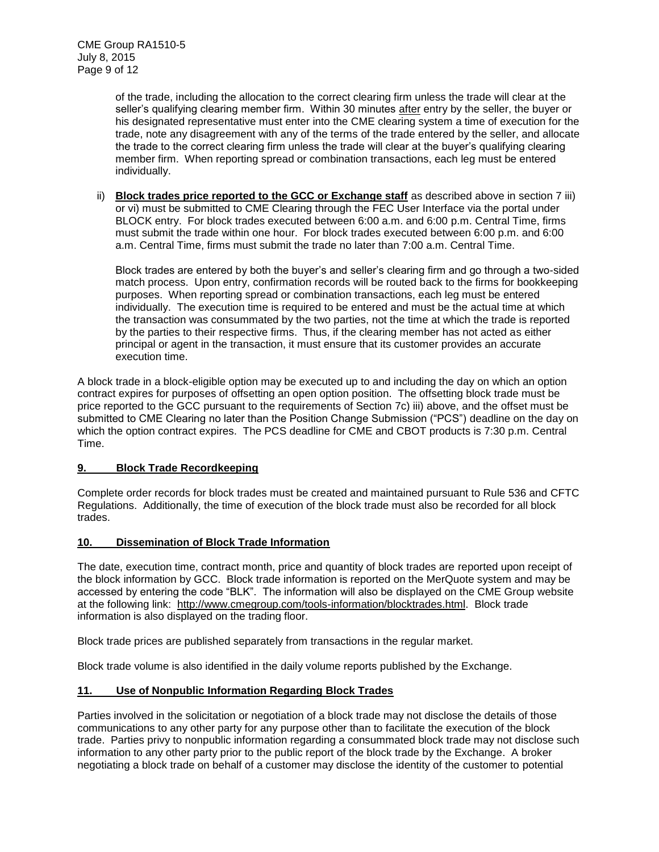of the trade, including the allocation to the correct clearing firm unless the trade will clear at the seller's qualifying clearing member firm. Within 30 minutes after entry by the seller, the buyer or his designated representative must enter into the CME clearing system a time of execution for the trade, note any disagreement with any of the terms of the trade entered by the seller, and allocate the trade to the correct clearing firm unless the trade will clear at the buyer's qualifying clearing member firm. When reporting spread or combination transactions, each leg must be entered individually.

ii) **Block trades price reported to the GCC or Exchange staff** as described above in section 7 iii) or vi) must be submitted to CME Clearing through the FEC User Interface via the portal under BLOCK entry. For block trades executed between 6:00 a.m. and 6:00 p.m. Central Time, firms must submit the trade within one hour. For block trades executed between 6:00 p.m. and 6:00 a.m. Central Time, firms must submit the trade no later than 7:00 a.m. Central Time.

Block trades are entered by both the buyer's and seller's clearing firm and go through a two-sided match process. Upon entry, confirmation records will be routed back to the firms for bookkeeping purposes. When reporting spread or combination transactions, each leg must be entered individually. The execution time is required to be entered and must be the actual time at which the transaction was consummated by the two parties, not the time at which the trade is reported by the parties to their respective firms. Thus, if the clearing member has not acted as either principal or agent in the transaction, it must ensure that its customer provides an accurate execution time.

A block trade in a block-eligible option may be executed up to and including the day on which an option contract expires for purposes of offsetting an open option position. The offsetting block trade must be price reported to the GCC pursuant to the requirements of Section 7c) iii) above, and the offset must be submitted to CME Clearing no later than the Position Change Submission ("PCS") deadline on the day on which the option contract expires. The PCS deadline for CME and CBOT products is 7:30 p.m. Central Time.

### <span id="page-8-0"></span>**9. Block Trade Recordkeeping**

Complete order records for block trades must be created and maintained pursuant to Rule 536 and CFTC Regulations. Additionally, the time of execution of the block trade must also be recorded for all block trades.

#### <span id="page-8-1"></span>**10. Dissemination of Block Trade Information**

The date, execution time, contract month, price and quantity of block trades are reported upon receipt of the block information by GCC. Block trade information is reported on the MerQuote system and may be accessed by entering the code "BLK". The information will also be displayed on the CME Group website at the following link: [http://www.cmegroup.com/tools-information/blocktrades.html.](http://www.cmegroup.com/tools-information/blocktrades.html) Block trade information is also displayed on the trading floor.

Block trade prices are published separately from transactions in the regular market.

Block trade volume is also identified in the daily volume reports published by the Exchange.

### <span id="page-8-2"></span>**11. Use of Nonpublic Information Regarding Block Trades**

Parties involved in the solicitation or negotiation of a block trade may not disclose the details of those communications to any other party for any purpose other than to facilitate the execution of the block trade. Parties privy to nonpublic information regarding a consummated block trade may not disclose such information to any other party prior to the public report of the block trade by the Exchange. A broker negotiating a block trade on behalf of a customer may disclose the identity of the customer to potential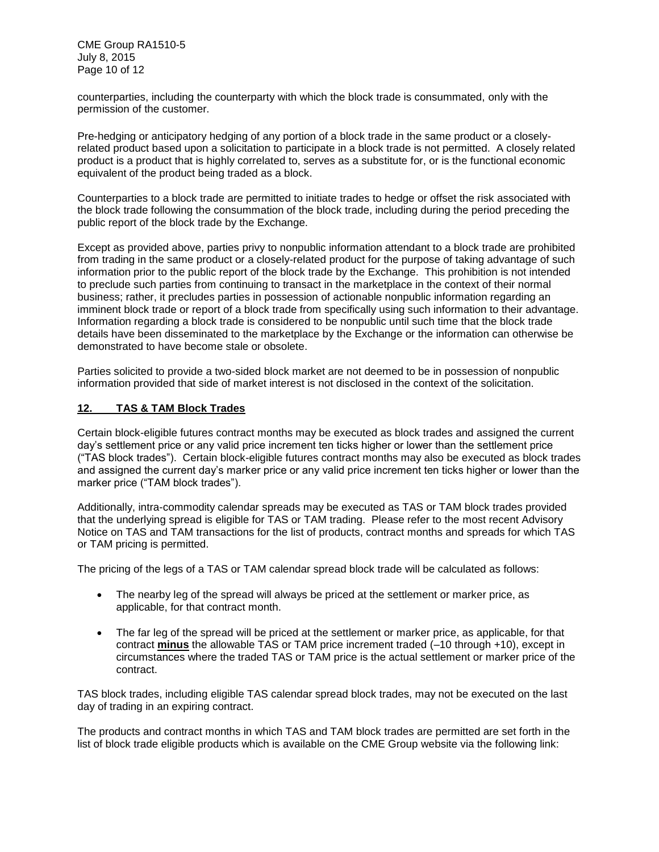CME Group RA1510-5 July 8, 2015 Page 10 of 12

counterparties, including the counterparty with which the block trade is consummated, only with the permission of the customer.

Pre-hedging or anticipatory hedging of any portion of a block trade in the same product or a closelyrelated product based upon a solicitation to participate in a block trade is not permitted. A closely related product is a product that is highly correlated to, serves as a substitute for, or is the functional economic equivalent of the product being traded as a block.

Counterparties to a block trade are permitted to initiate trades to hedge or offset the risk associated with the block trade following the consummation of the block trade, including during the period preceding the public report of the block trade by the Exchange.

Except as provided above, parties privy to nonpublic information attendant to a block trade are prohibited from trading in the same product or a closely-related product for the purpose of taking advantage of such information prior to the public report of the block trade by the Exchange. This prohibition is not intended to preclude such parties from continuing to transact in the marketplace in the context of their normal business; rather, it precludes parties in possession of actionable nonpublic information regarding an imminent block trade or report of a block trade from specifically using such information to their advantage. Information regarding a block trade is considered to be nonpublic until such time that the block trade details have been disseminated to the marketplace by the Exchange or the information can otherwise be demonstrated to have become stale or obsolete.

Parties solicited to provide a two-sided block market are not deemed to be in possession of nonpublic information provided that side of market interest is not disclosed in the context of the solicitation.

### <span id="page-9-0"></span>**12. TAS & TAM Block Trades**

Certain block-eligible futures contract months may be executed as block trades and assigned the current day's settlement price or any valid price increment ten ticks higher or lower than the settlement price ("TAS block trades"). Certain block-eligible futures contract months may also be executed as block trades and assigned the current day's marker price or any valid price increment ten ticks higher or lower than the marker price ("TAM block trades").

Additionally, intra-commodity calendar spreads may be executed as TAS or TAM block trades provided that the underlying spread is eligible for TAS or TAM trading. Please refer to the most recent Advisory Notice on TAS and TAM transactions for the list of products, contract months and spreads for which TAS or TAM pricing is permitted.

The pricing of the legs of a TAS or TAM calendar spread block trade will be calculated as follows:

- The nearby leg of the spread will always be priced at the settlement or marker price, as applicable, for that contract month.
- The far leg of the spread will be priced at the settlement or marker price, as applicable, for that contract **minus** the allowable TAS or TAM price increment traded (–10 through +10), except in circumstances where the traded TAS or TAM price is the actual settlement or marker price of the contract.

TAS block trades, including eligible TAS calendar spread block trades, may not be executed on the last day of trading in an expiring contract.

The products and contract months in which TAS and TAM block trades are permitted are set forth in the list of block trade eligible products which is available on the CME Group website via the following link: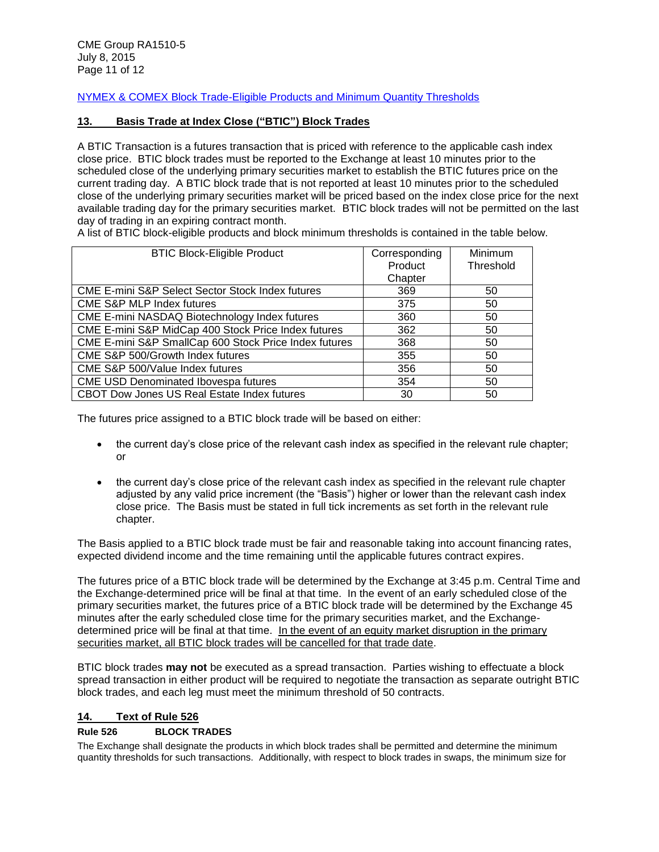[NYMEX & COMEX Block Trade-Eligible Products and Minimum Quantity Thresholds](http://www.cmegroup.com/clearing/trading-practices/block-trades.html#nymexComexProducts)

### <span id="page-10-0"></span>**13. Basis Trade at Index Close ("BTIC") Block Trades**

A BTIC Transaction is a futures transaction that is priced with reference to the applicable cash index close price. BTIC block trades must be reported to the Exchange at least 10 minutes prior to the scheduled close of the underlying primary securities market to establish the BTIC futures price on the current trading day. A BTIC block trade that is not reported at least 10 minutes prior to the scheduled close of the underlying primary securities market will be priced based on the index close price for the next available trading day for the primary securities market. BTIC block trades will not be permitted on the last day of trading in an expiring contract month.

A list of BTIC block-eligible products and block minimum thresholds is contained in the table below.

| <b>BTIC Block-Eligible Product</b>                          | Corresponding | <b>Minimum</b> |
|-------------------------------------------------------------|---------------|----------------|
|                                                             | Product       | Threshold      |
|                                                             | Chapter       |                |
| <b>CME E-mini S&amp;P Select Sector Stock Index futures</b> | 369           | 50             |
| CME S&P MLP Index futures                                   | 375           | 50             |
| CME E-mini NASDAQ Biotechnology Index futures               | 360           | 50             |
| CME E-mini S&P MidCap 400 Stock Price Index futures         | 362           | 50             |
| CME E-mini S&P SmallCap 600 Stock Price Index futures       | 368           | 50             |
| CME S&P 500/Growth Index futures                            | 355           | 50             |
| CME S&P 500/Value Index futures                             | 356           | 50             |
| CME USD Denominated Ibovespa futures                        | 354           | 50             |
| CBOT Dow Jones US Real Estate Index futures                 | 30            | 50             |

The futures price assigned to a BTIC block trade will be based on either:

- the current day's close price of the relevant cash index as specified in the relevant rule chapter; or
- the current day's close price of the relevant cash index as specified in the relevant rule chapter adjusted by any valid price increment (the "Basis") higher or lower than the relevant cash index close price. The Basis must be stated in full tick increments as set forth in the relevant rule chapter.

The Basis applied to a BTIC block trade must be fair and reasonable taking into account financing rates, expected dividend income and the time remaining until the applicable futures contract expires.

The futures price of a BTIC block trade will be determined by the Exchange at 3:45 p.m. Central Time and the Exchange-determined price will be final at that time. In the event of an early scheduled close of the primary securities market, the futures price of a BTIC block trade will be determined by the Exchange 45 minutes after the early scheduled close time for the primary securities market, and the Exchangedetermined price will be final at that time. In the event of an equity market disruption in the primary securities market, all BTIC block trades will be cancelled for that trade date.

BTIC block trades **may not** be executed as a spread transaction. Parties wishing to effectuate a block spread transaction in either product will be required to negotiate the transaction as separate outright BTIC block trades, and each leg must meet the minimum threshold of 50 contracts.

#### <span id="page-10-1"></span>**14. Text of Rule 526**

### **Rule 526 BLOCK TRADES**

The Exchange shall designate the products in which block trades shall be permitted and determine the minimum quantity thresholds for such transactions. Additionally, with respect to block trades in swaps, the minimum size for